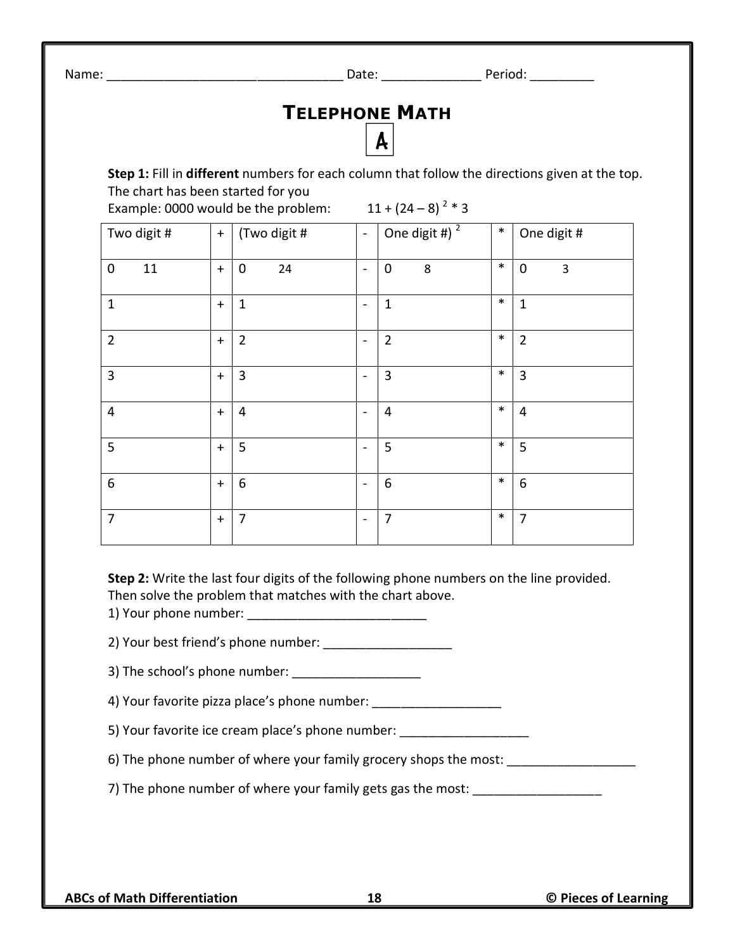Name: The contract of the contract of the Date: the Period:  $\Box$  Period:  $\Box$  Period:  $\Box$ 

## **TELEPHONE MATH**

**Step 1:** Fill in **different** numbers for each column that follow the directions given at the top. The chart has been started for you

A

|                        |           |                   |                              | $\cdot$<br>$\overline{\phantom{a}}$     |        |                  |
|------------------------|-----------|-------------------|------------------------------|-----------------------------------------|--------|------------------|
| Two digit #            | $+$       | (Two digit #      | $\blacksquare$               | One digit $\overline{4}$ ) <sup>2</sup> | $\ast$ | One digit #      |
| 11<br>$\boldsymbol{0}$ | $\ddag$   | 24<br>$\mathbf 0$ | $\blacksquare$               | $\mathbf 0$<br>8                        | $\ast$ | $\pmb{0}$<br>3   |
| $\mathbf{1}$           | $+$       | $\mathbf{1}$      | $\blacksquare$               | $\mathbf{1}$                            | $\ast$ | $\mathbf{1}$     |
| $\overline{2}$         | $+$       | $\overline{2}$    | $\blacksquare$               | $\overline{2}$                          | $\ast$ | $\overline{2}$   |
| 3                      | $+$       | $\overline{3}$    | $\overline{\phantom{0}}$     | $\mathbf{3}$                            | $\ast$ | 3                |
| 4                      | $+$       | $\overline{4}$    | $\overline{\phantom{a}}$     | $\overline{4}$                          | $\ast$ | $\overline{4}$   |
| 5                      | $+$       | 5                 | $\blacksquare$               | 5                                       | $\ast$ | 5                |
| $\boldsymbol{6}$       | $+$       | $6\phantom{1}6$   | $\blacksquare$               | $\boldsymbol{6}$                        | $\ast$ | $\boldsymbol{6}$ |
| $\overline{7}$         | $\ddot{}$ | 7                 | $\qquad \qquad \blacksquare$ | 7                                       | $\ast$ | $\overline{7}$   |

Example: 0000 would be the problem:  $11 + (24 - 8)^{2} * 3$ 

**Step 2:** Write the last four digits of the following phone numbers on the line provided. Then solve the problem that matches with the chart above.

1) Your phone number:

2) Your best friend's phone number:

3) The school's phone number: \_\_\_\_\_\_\_\_\_\_\_\_\_\_\_\_\_\_

4) Your favorite pizza place's phone number:

5) Your favorite ice cream place's phone number: \_\_\_\_\_\_\_\_\_\_\_\_\_\_\_\_\_\_\_\_\_\_\_\_\_\_\_\_\_\_\_

6) The phone number of where your family grocery shops the most:

7) The phone number of where your family gets gas the most: \_\_\_\_\_\_\_\_\_\_\_\_\_\_\_\_\_\_\_\_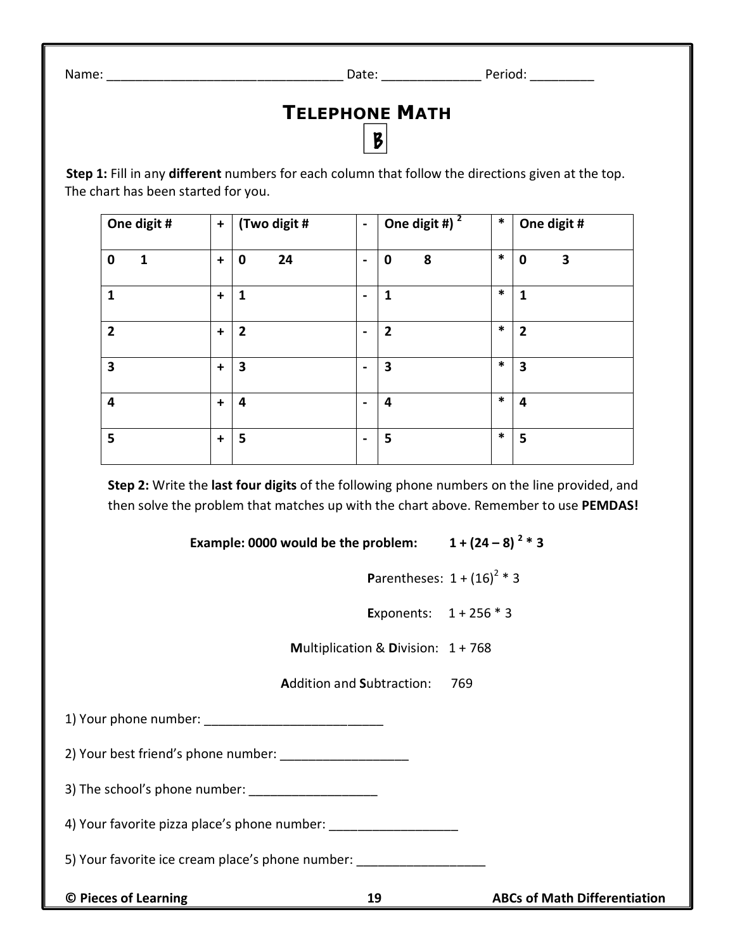Name: The contract of the contract of the Date: the Period:  $\Box$  Period:  $\Box$  Period:  $\Box$ 

## **TELEPHONE MATH**

 $\mathbf{B}$ 

**Step 1:** Fill in any **different** numbers for each column that follow the directions given at the top. The chart has been started for you.

| One digit #                 | $\ddot{}$ | (Two digit #            | $\blacksquare$ | One digit # $\sqrt{2}$ | $\ast$ | One digit #      |
|-----------------------------|-----------|-------------------------|----------------|------------------------|--------|------------------|
| $\mathbf 0$<br>$\mathbf{1}$ | $\ddot{}$ | 24<br>$\mathbf 0$       | $\blacksquare$ | 8<br>$\mathbf 0$       | $\ast$ | 3<br>$\mathbf 0$ |
| $\mathbf{1}$                | $\ddot{}$ | $\mathbf{1}$            | $\blacksquare$ | 1                      | $\ast$ | $\mathbf{1}$     |
| $\overline{2}$              | $\ddot{}$ | $\mathbf{2}$            | $\blacksquare$ | $\overline{2}$         | $\ast$ | $\mathbf{2}$     |
| $\overline{\mathbf{3}}$     | $\ddot{}$ | $\overline{\mathbf{3}}$ | $\blacksquare$ | 3                      | $\ast$ | 3                |
| $\overline{\mathbf{4}}$     | $\ddot{}$ | 4                       | $\blacksquare$ | 4                      | $\ast$ | 4                |
| 5                           | $\ddot{}$ | 5                       | $\blacksquare$ | 5                      | $\ast$ | 5                |

**Step 2:** Write the **last four digits** of the following phone numbers on the line provided, and then solve the problem that matches up with the chart above. Remember to use **PEMDAS!**

**Example: 0000 would be the problem:**  $1 + (24 - 8)^{2} * 3$ 

**Parentheses:**  $1 + (16)^2 * 3$ 

**E**xponents: 1 + 256 \* 3

**M**ultiplication & **D**ivision: 1 + 768

**A**ddition and **S**ubtraction: 769

1) Your phone number:

2) Your best friend's phone number:

3) The school's phone number: \_\_\_\_\_\_\_\_\_\_\_\_\_\_\_\_\_\_

4) Your favorite pizza place's phone number: \_\_\_\_\_\_\_\_\_\_\_\_\_\_\_\_\_\_\_\_\_\_\_\_\_\_\_\_\_\_\_\_\_\_\_

5) Your favorite ice cream place's phone number:

**© Pieces of Learning 19 ABCs of Math Differentiation**